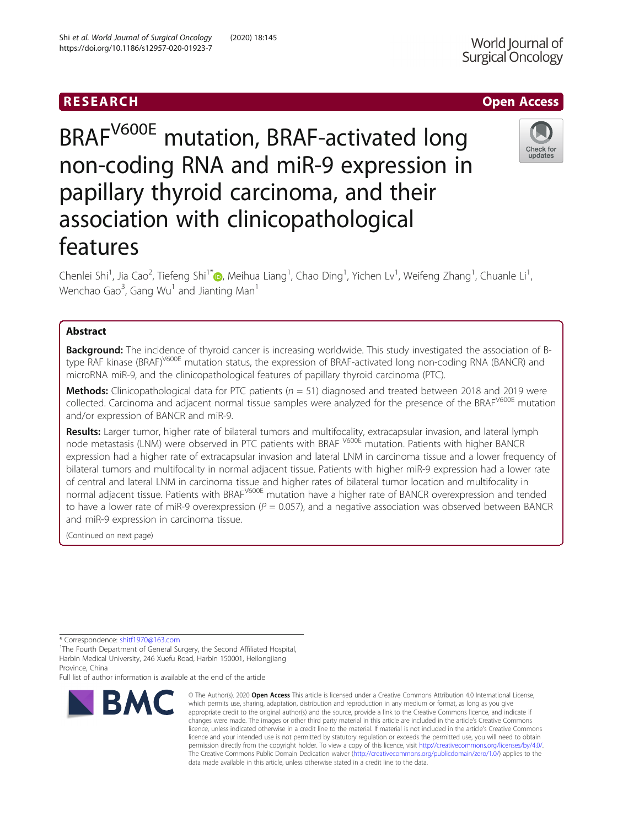## RESEARCH **RESEARCH CHOOSE ACCESS**

# BRAFV600E mutation, BRAF-activated long non-coding RNA and miR-9 expression in papillary thyroid carcinoma, and their association with clinicopathological features

Chenlei Shi<sup>1</sup>[,](http://orcid.org/0000-0002-1202-8188) Jia Cao<sup>2</sup>, Tiefeng Shi<sup>1\*</sup>@, Meihua Liang<sup>1</sup>, Chao Ding<sup>1</sup>, Yichen Lv<sup>1</sup>, Weifeng Zhang<sup>1</sup>, Chuanle Li<sup>1</sup> , Wenchao Gao $^3$ , Gang Wu $^1$  and Jianting Man $^1$ 

## Abstract

Background: The incidence of thyroid cancer is increasing worldwide. This study investigated the association of Btype RAF kinase (BRAF)<sup>V600E</sup> mutation status, the expression of BRAF-activated long non-coding RNA (BANCR) and microRNA miR-9, and the clinicopathological features of papillary thyroid carcinoma (PTC).

**Methods:** Clinicopathological data for PTC patients ( $n = 51$ ) diagnosed and treated between 2018 and 2019 were collected. Carcinoma and adjacent normal tissue samples were analyzed for the presence of the BRAF<sup>V600E</sup> mutation and/or expression of BANCR and miR-9.

Results: Larger tumor, higher rate of bilateral tumors and multifocality, extracapsular invasion, and lateral lymph node metastasis (LNM) were observed in PTC patients with BRAF V600E mutation. Patients with higher BANCR expression had a higher rate of extracapsular invasion and lateral LNM in carcinoma tissue and a lower frequency of bilateral tumors and multifocality in normal adjacent tissue. Patients with higher miR-9 expression had a lower rate of central and lateral LNM in carcinoma tissue and higher rates of bilateral tumor location and multifocality in normal adjacent tissue. Patients with BRAF<sup>V600E</sup> mutation have a higher rate of BANCR overexpression and tended to have a lower rate of miR-9 overexpression ( $P = 0.057$ ), and a negative association was observed between BANCR and miR-9 expression in carcinoma tissue.

(Continued on next page)

\* Correspondence: [shitf1970@163.com](mailto:shitf1970@163.com) <sup>1</sup>

<sup>1</sup>The Fourth Department of General Surgery, the Second Affiliated Hospital, Harbin Medical University, 246 Xuefu Road, Harbin 150001, Heilongjiang Province, China

Full list of author information is available at the end of the article

**BMC** 

Shi et al. World Journal of Surgical Oncology (2020) 18:145 https://doi.org/10.1186/s12957-020-01923-7



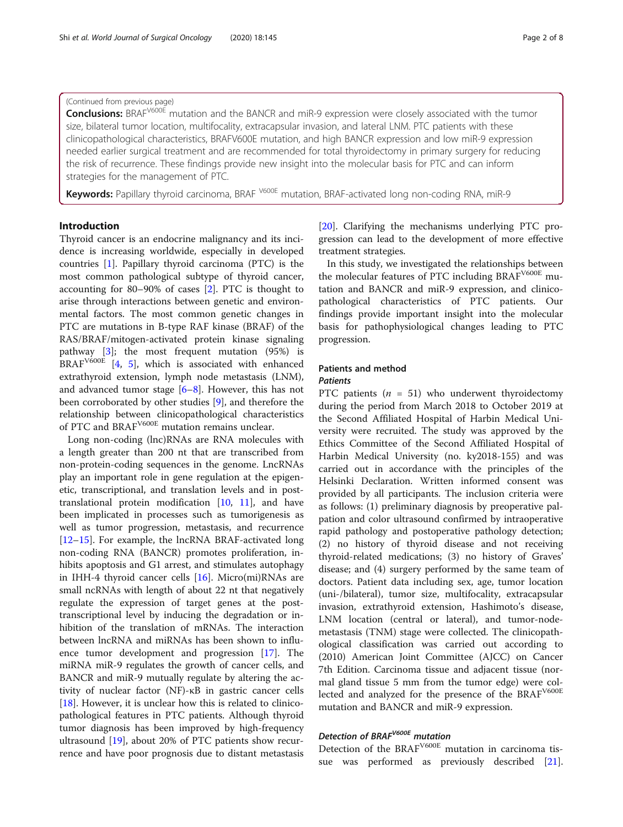## (Continued from previous page)

Conclusions: BRAF<sup>V600E</sup> mutation and the BANCR and miR-9 expression were closely associated with the tumor size, bilateral tumor location, multifocality, extracapsular invasion, and lateral LNM. PTC patients with these clinicopathological characteristics, BRAFV600E mutation, and high BANCR expression and low miR-9 expression needed earlier surgical treatment and are recommended for total thyroidectomy in primary surgery for reducing the risk of recurrence. These findings provide new insight into the molecular basis for PTC and can inform strategies for the management of PTC.

Keywords: Papillary thyroid carcinoma, BRAF <sup>V600E</sup> mutation, BRAF-activated long non-coding RNA, miR-9

## Introduction

Thyroid cancer is an endocrine malignancy and its incidence is increasing worldwide, especially in developed countries [\[1](#page-6-0)]. Papillary thyroid carcinoma (PTC) is the most common pathological subtype of thyroid cancer, accounting for 80–90% of cases [\[2](#page-6-0)]. PTC is thought to arise through interactions between genetic and environmental factors. The most common genetic changes in PTC are mutations in B-type RAF kinase (BRAF) of the RAS/BRAF/mitogen-activated protein kinase signaling pathway [\[3](#page-7-0)]; the most frequent mutation (95%) is  $BRAF<sup>V600E</sup>$  [[4,](#page-7-0) [5\]](#page-7-0), which is associated with enhanced extrathyroid extension, lymph node metastasis (LNM), and advanced tumor stage  $[6-8]$  $[6-8]$  $[6-8]$  $[6-8]$ . However, this has not been corroborated by other studies [\[9](#page-7-0)], and therefore the relationship between clinicopathological characteristics of PTC and BRAFV600E mutation remains unclear.

Long non-coding (lnc)RNAs are RNA molecules with a length greater than 200 nt that are transcribed from non-protein-coding sequences in the genome. LncRNAs play an important role in gene regulation at the epigenetic, transcriptional, and translation levels and in posttranslational protein modification [[10](#page-7-0), [11\]](#page-7-0), and have been implicated in processes such as tumorigenesis as well as tumor progression, metastasis, and recurrence [[12](#page-7-0)–[15](#page-7-0)]. For example, the lncRNA BRAF-activated long non-coding RNA (BANCR) promotes proliferation, inhibits apoptosis and G1 arrest, and stimulates autophagy in IHH-4 thyroid cancer cells [[16\]](#page-7-0). Micro(mi)RNAs are small ncRNAs with length of about 22 nt that negatively regulate the expression of target genes at the posttranscriptional level by inducing the degradation or inhibition of the translation of mRNAs. The interaction between lncRNA and miRNAs has been shown to influence tumor development and progression [\[17](#page-7-0)]. The miRNA miR-9 regulates the growth of cancer cells, and BANCR and miR-9 mutually regulate by altering the activity of nuclear factor (NF)-κB in gastric cancer cells [[18\]](#page-7-0). However, it is unclear how this is related to clinicopathological features in PTC patients. Although thyroid tumor diagnosis has been improved by high-frequency ultrasound [\[19](#page-7-0)], about 20% of PTC patients show recurrence and have poor prognosis due to distant metastasis

[[20\]](#page-7-0). Clarifying the mechanisms underlying PTC progression can lead to the development of more effective treatment strategies.

In this study, we investigated the relationships between the molecular features of PTC including BRAF<sup>V600E</sup> mutation and BANCR and miR-9 expression, and clinicopathological characteristics of PTC patients. Our findings provide important insight into the molecular basis for pathophysiological changes leading to PTC progression.

#### Patients and method

## Patients

PTC patients ( $n = 51$ ) who underwent thyroidectomy during the period from March 2018 to October 2019 at the Second Affiliated Hospital of Harbin Medical University were recruited. The study was approved by the Ethics Committee of the Second Affiliated Hospital of Harbin Medical University (no. ky2018-155) and was carried out in accordance with the principles of the Helsinki Declaration. Written informed consent was provided by all participants. The inclusion criteria were as follows: (1) preliminary diagnosis by preoperative palpation and color ultrasound confirmed by intraoperative rapid pathology and postoperative pathology detection; (2) no history of thyroid disease and not receiving thyroid-related medications; (3) no history of Graves' disease; and (4) surgery performed by the same team of doctors. Patient data including sex, age, tumor location (uni-/bilateral), tumor size, multifocality, extracapsular invasion, extrathyroid extension, Hashimoto's disease, LNM location (central or lateral), and tumor-nodemetastasis (TNM) stage were collected. The clinicopathological classification was carried out according to (2010) American Joint Committee (AJCC) on Cancer 7th Edition. Carcinoma tissue and adjacent tissue (normal gland tissue 5 mm from the tumor edge) were collected and analyzed for the presence of the BRAF<sup>V600E</sup> mutation and BANCR and miR-9 expression.

## Detection of BRAF<sup>V600E</sup> mutation

Detection of the BRAF<sup>V600E</sup> mutation in carcinoma tissue was performed as previously described [\[21](#page-7-0)].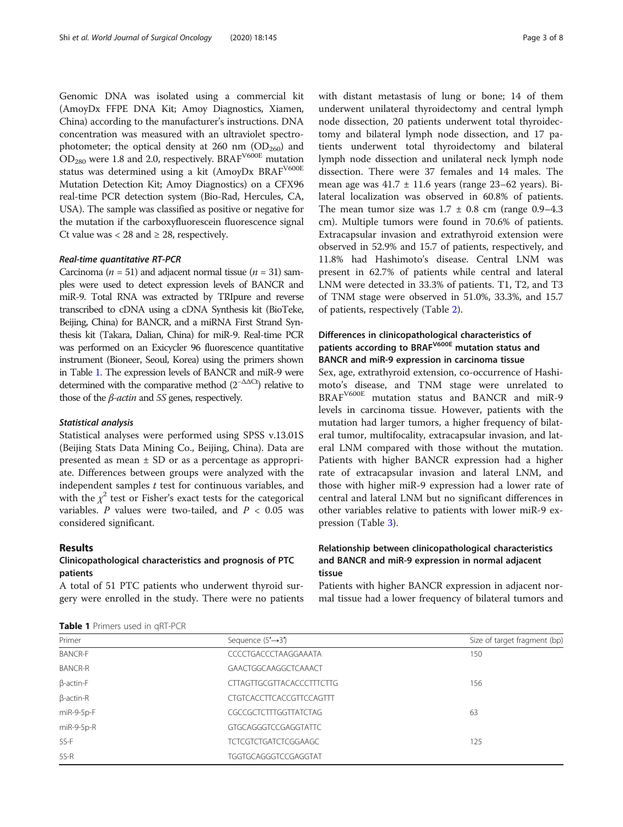Genomic DNA was isolated using a commercial kit (AmoyDx FFPE DNA Kit; Amoy Diagnostics, Xiamen, China) according to the manufacturer's instructions. DNA concentration was measured with an ultraviolet spectrophotometer; the optical density at 260 nm  $(OD<sub>260</sub>)$  and  $OD_{280}$  were 1.8 and 2.0, respectively. BRAF<sup>V600E</sup> mutation status was determined using a kit (AmoyDx BRAF<sup>V600E</sup> Mutation Detection Kit; Amoy Diagnostics) on a CFX96 real-time PCR detection system (Bio-Rad, Hercules, CA, USA). The sample was classified as positive or negative for the mutation if the carboxyfluorescein fluorescence signal Ct value was  $<$  28 and  $\geq$  28, respectively.

#### Real-time quantitative RT-PCR

Carcinoma ( $n = 51$ ) and adjacent normal tissue ( $n = 31$ ) samples were used to detect expression levels of BANCR and miR-9. Total RNA was extracted by TRIpure and reverse transcribed to cDNA using a cDNA Synthesis kit (BioTeke, Beijing, China) for BANCR, and a miRNA First Strand Synthesis kit (Takara, Dalian, China) for miR-9. Real-time PCR was performed on an Exicycler 96 fluorescence quantitative instrument (Bioneer, Seoul, Korea) using the primers shown in Table 1. The expression levels of BANCR and miR-9 were determined with the comparative method  $(2^{-\Delta\Delta Ct})$  relative to those of the  $\beta$ -*actin* and 5S genes, respectively.

#### Statistical analysis

Statistical analyses were performed using SPSS v.13.01S (Beijing Stats Data Mining Co., Beijing, China). Data are presented as mean  $\pm$  SD or as a percentage as appropriate. Differences between groups were analyzed with the independent samples  $t$  test for continuous variables, and with the  $\chi^2$  test or Fisher's exact tests for the categorical variables. P values were two-tailed, and  $P < 0.05$  was considered significant.

#### Results

## Clinicopathological characteristics and prognosis of PTC patients

A total of 51 PTC patients who underwent thyroid surgery were enrolled in the study. There were no patients

|  | Table 1 Primers used in qRT-PCR |  |  |
|--|---------------------------------|--|--|
|  |                                 |  |  |

with distant metastasis of lung or bone; 14 of them underwent unilateral thyroidectomy and central lymph node dissection, 20 patients underwent total thyroidectomy and bilateral lymph node dissection, and 17 patients underwent total thyroidectomy and bilateral lymph node dissection and unilateral neck lymph node dissection. There were 37 females and 14 males. The mean age was  $41.7 \pm 11.6$  years (range 23–62 years). Bilateral localization was observed in 60.8% of patients. The mean tumor size was  $1.7 \pm 0.8$  cm (range 0.9–4.3) cm). Multiple tumors were found in 70.6% of patients. Extracapsular invasion and extrathyroid extension were observed in 52.9% and 15.7 of patients, respectively, and 11.8% had Hashimoto's disease. Central LNM was present in 62.7% of patients while central and lateral LNM were detected in 33.3% of patients. T1, T2, and T3 of TNM stage were observed in 51.0%, 33.3%, and 15.7 of patients, respectively (Table [2](#page-3-0)).

## Differences in clinicopathological characteristics of patients according to BRAF<sup>V600E</sup> mutation status and BANCR and miR-9 expression in carcinoma tissue

Sex, age, extrathyroid extension, co-occurrence of Hashimoto's disease, and TNM stage were unrelated to BRAFV600E mutation status and BANCR and miR-9 levels in carcinoma tissue. However, patients with the mutation had larger tumors, a higher frequency of bilateral tumor, multifocality, extracapsular invasion, and lateral LNM compared with those without the mutation. Patients with higher BANCR expression had a higher rate of extracapsular invasion and lateral LNM, and those with higher miR-9 expression had a lower rate of central and lateral LNM but no significant differences in other variables relative to patients with lower miR-9 expression (Table [3\)](#page-4-0).

## Relationship between clinicopathological characteristics and BANCR and miR-9 expression in normal adjacent tissue

Patients with higher BANCR expression in adjacent normal tissue had a lower frequency of bilateral tumors and

| Primer           | Sequence $(5' \rightarrow 3')$ | Size of target fragment (bp) |
|------------------|--------------------------------|------------------------------|
| <b>BANCR-F</b>   | CCCCTGACCCTAAGGAAATA           | 150                          |
| <b>BANCR-R</b>   | GAACTGGCAAGGCTCAAACT           |                              |
| $\beta$ -actin-F | CTTAGTTGCGTTACACCCTTTCTTG      | 156                          |
| $\beta$ -actin-R | CTGTCACCTTCACCGTTCCAGTTT       |                              |
| miR-9-5p-F       | <b>CGCCGCTCTTTGGTTATCTAG</b>   | 63                           |
| $miR-9-5p-R$     | <b>GTGCAGGGTCCGAGGTATTC</b>    |                              |
| $5S-F$           | <b>TCTCGTCTGATCTCGGAAGC</b>    | 125                          |
| $5S-R$           | TGGTGCAGGGTCCGAGGTAT           |                              |
|                  |                                |                              |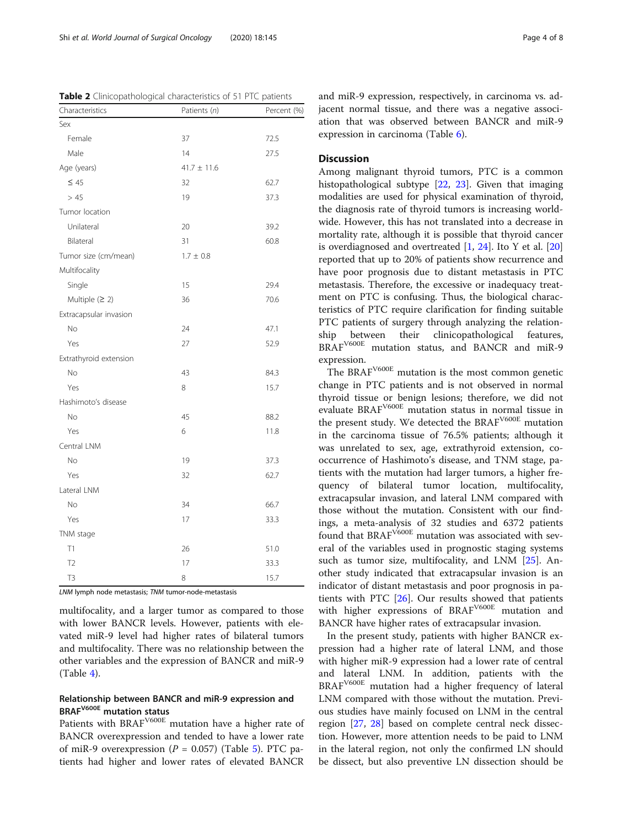<span id="page-3-0"></span>Table 2 Clinicopathological characteristics of 51 PTC patients

| Characteristics        | Patients (n)    | Percent (%) |
|------------------------|-----------------|-------------|
| Sex                    |                 |             |
| Female                 | 37              | 72.5        |
| Male                   | 14              | 27.5        |
| Age (years)            | $41.7 \pm 11.6$ |             |
| $\leq 45$              | 32              | 62.7        |
| >45                    | 19              | 37.3        |
| Tumor location         |                 |             |
| Unilateral             | 20              | 39.2        |
| Bilateral              | 31              | 60.8        |
| Tumor size (cm/mean)   | $1.7 \pm 0.8$   |             |
| Multifocality          |                 |             |
| Single                 | 15              | 29.4        |
| Multiple $(2 2)$       | 36              | 70.6        |
| Extracapsular invasion |                 |             |
| No                     | 24              | 47.1        |
| Yes                    | 27              | 52.9        |
| Extrathyroid extension |                 |             |
| No                     | 43              | 84.3        |
| Yes                    | 8               | 15.7        |
| Hashimoto's disease    |                 |             |
| No.                    | 45              | 88.2        |
| Yes                    | 6               | 11.8        |
| Central LNM            |                 |             |
| <b>No</b>              | 19              | 37.3        |
| Yes                    | 32              | 62.7        |
| Lateral LNM            |                 |             |
| No                     | 34              | 66.7        |
| Yes                    | 17              | 33.3        |
| TNM stage              |                 |             |
| T1                     | 26              | 51.0        |
| T <sub>2</sub>         | 17              | 33.3        |
| T <sub>3</sub>         | 8               | 15.7        |

LNM lymph node metastasis; TNM tumor-node-metastasis

multifocality, and a larger tumor as compared to those with lower BANCR levels. However, patients with elevated miR-9 level had higher rates of bilateral tumors and multifocality. There was no relationship between the other variables and the expression of BANCR and miR-9 (Table [4\)](#page-5-0).

## Relationship between BANCR and miR-9 expression and BRAFV600E mutation status

Patients with BRAF<sup>V600E</sup> mutation have a higher rate of BANCR overexpression and tended to have a lower rate of miR-9 overexpression ( $P = 0.057$  $P = 0.057$  $P = 0.057$ ) (Table 5). PTC patients had higher and lower rates of elevated BANCR

and miR-9 expression, respectively, in carcinoma vs. adjacent normal tissue, and there was a negative association that was observed between BANCR and miR-9 expression in carcinoma (Table [6](#page-6-0)).

## **Discussion**

Among malignant thyroid tumors, PTC is a common histopathological subtype [[22,](#page-7-0) [23\]](#page-7-0). Given that imaging modalities are used for physical examination of thyroid, the diagnosis rate of thyroid tumors is increasing worldwide. However, this has not translated into a decrease in mortality rate, although it is possible that thyroid cancer is overdiagnosed and overtreated  $[1, 24]$  $[1, 24]$  $[1, 24]$  $[1, 24]$ . Ito Y et al.  $[20]$  $[20]$  $[20]$ reported that up to 20% of patients show recurrence and have poor prognosis due to distant metastasis in PTC metastasis. Therefore, the excessive or inadequacy treatment on PTC is confusing. Thus, the biological characteristics of PTC require clarification for finding suitable PTC patients of surgery through analyzing the relationship between their clinicopathological features, BRAFV600E mutation status, and BANCR and miR-9 expression.

The BRAFV600E mutation is the most common genetic change in PTC patients and is not observed in normal thyroid tissue or benign lesions; therefore, we did not evaluate BRAFV600E mutation status in normal tissue in the present study. We detected the BRAF<sup>V600E</sup> mutation in the carcinoma tissue of 76.5% patients; although it was unrelated to sex, age, extrathyroid extension, cooccurrence of Hashimoto's disease, and TNM stage, patients with the mutation had larger tumors, a higher frequency of bilateral tumor location, multifocality, extracapsular invasion, and lateral LNM compared with those without the mutation. Consistent with our findings, a meta-analysis of 32 studies and 6372 patients found that BRAF<sup>V600E</sup> mutation was associated with several of the variables used in prognostic staging systems such as tumor size, multifocality, and LNM [[25](#page-7-0)]. Another study indicated that extracapsular invasion is an indicator of distant metastasis and poor prognosis in patients with PTC [[26\]](#page-7-0). Our results showed that patients with higher expressions of BRAF<sup>V600E</sup> mutation and BANCR have higher rates of extracapsular invasion.

In the present study, patients with higher BANCR expression had a higher rate of lateral LNM, and those with higher miR-9 expression had a lower rate of central and lateral LNM. In addition, patients with the BRAFV600E mutation had a higher frequency of lateral LNM compared with those without the mutation. Previous studies have mainly focused on LNM in the central region [\[27,](#page-7-0) [28](#page-7-0)] based on complete central neck dissection. However, more attention needs to be paid to LNM in the lateral region, not only the confirmed LN should be dissect, but also preventive LN dissection should be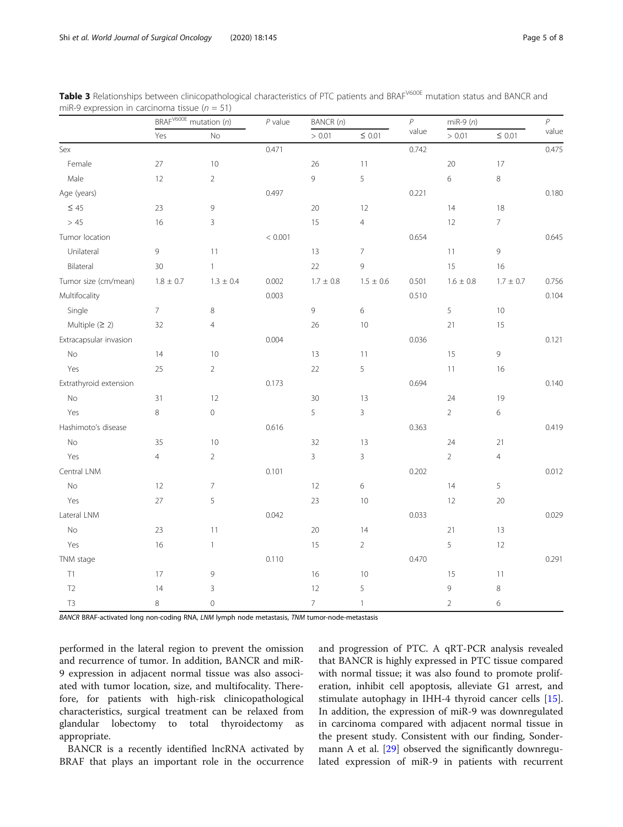|                        | BRAF <sup>V600E</sup> mutation (n) |                | $P$ value | BANCR (n)      |                | $\boldsymbol{\mathcal{P}}$ | $m$ i $R$ -9 $(n)$ |                | $\boldsymbol{P}$ |
|------------------------|------------------------------------|----------------|-----------|----------------|----------------|----------------------------|--------------------|----------------|------------------|
|                        | Yes                                | No             |           | > 0.01         | $\leq$ 0.01    | value                      | > 0.01             | $\leq$ 0.01    | value            |
| Sex                    |                                    |                | 0.471     |                |                | 0.742                      |                    |                | 0.475            |
| Female                 | 27                                 | $10$           |           | 26             | 11             |                            | 20                 | $17\,$         |                  |
| Male                   | 12                                 | $\overline{2}$ |           | $\mathfrak{g}$ | 5              |                            | 6                  | $\,8\,$        |                  |
| Age (years)            |                                    |                | 0.497     |                |                | 0.221                      |                    |                | 0.180            |
| $\leq 45$              | 23                                 | 9              |           | 20             | 12             |                            | 14                 | 18             |                  |
| > 45                   | 16                                 | 3              |           | 15             | $\overline{4}$ |                            | 12                 | $\overline{7}$ |                  |
| Tumor location         |                                    |                | < 0.001   |                |                | 0.654                      |                    |                | 0.645            |
| Unilateral             | 9                                  | 11             |           | 13             | $\overline{7}$ |                            | 11                 | 9              |                  |
| Bilateral              | 30                                 | $\mathbf{1}$   |           | 22             | 9              |                            | 15                 | 16             |                  |
| Tumor size (cm/mean)   | $1.8\,\pm\,0.7$                    | $1.3 \pm 0.4$  | 0.002     | $1.7 \pm 0.8$  | $1.5 \pm 0.6$  | 0.501                      | $1.6\pm0.8$        | $1.7\pm0.7$    | 0.756            |
| Multifocality          |                                    |                | 0.003     |                |                | 0.510                      |                    |                | 0.104            |
| Single                 | $7\overline{ }$                    | 8              |           | $\mathcal{G}$  | 6              |                            | 5                  | 10             |                  |
| Multiple $(≥ 2)$       | 32                                 | $\overline{4}$ |           | 26             | 10             |                            | 21                 | 15             |                  |
| Extracapsular invasion |                                    |                | 0.004     |                |                | 0.036                      |                    |                | 0.121            |
| $\rm No$               | 14                                 | 10             |           | 13             | 11             |                            | 15                 | $\overline{9}$ |                  |
| Yes                    | 25                                 | $\overline{2}$ |           | 22             | 5              |                            | 11                 | 16             |                  |
| Extrathyroid extension |                                    |                | 0.173     |                |                | 0.694                      |                    |                | 0.140            |
| No                     | 31                                 | 12             |           | 30             | 13             |                            | 24                 | 19             |                  |
| Yes                    | $\,8\,$                            | $\mathbf 0$    |           | 5              | $\overline{3}$ |                            | $\overline{2}$     | $\epsilon$     |                  |
| Hashimoto's disease    |                                    |                | 0.616     |                |                | 0.363                      |                    |                | 0.419            |
| $\rm No$               | 35                                 | 10             |           | 32             | 13             |                            | 24                 | 21             |                  |
| Yes                    | $\overline{4}$                     | $\overline{2}$ |           | $\overline{3}$ | 3              |                            | $\overline{2}$     | $\overline{4}$ |                  |
| Central LNM            |                                    |                | 0.101     |                |                | 0.202                      |                    |                | 0.012            |
| No                     | 12                                 | $\overline{7}$ |           | 12             | 6              |                            | 14                 | 5              |                  |
| Yes                    | 27                                 | 5              |           | 23             | $10$           |                            | 12                 | $20\,$         |                  |
| Lateral LNM            |                                    |                | 0.042     |                |                | 0.033                      |                    |                | 0.029            |
| $\rm No$               | 23                                 | 11             |           | $20\,$         | 14             |                            | 21                 | 13             |                  |
| Yes                    | 16                                 | $\mathbf{1}$   |           | 15             | $\overline{2}$ |                            | 5                  | 12             |                  |
| TNM stage              |                                    |                | 0.110     |                |                | 0.470                      |                    |                | 0.291            |
| T1                     | 17                                 | 9              |           | 16             | 10             |                            | 15                 | 11             |                  |
| T2                     | 14                                 | $\mathsf 3$    |           | 12             | 5              |                            | 9                  | $\,8\,$        |                  |
| $\mathsf{T3}$          | 8                                  | $\mathbf 0$    |           | $\overline{7}$ | $\mathbf{1}$   |                            | $\overline{2}$     | $\epsilon$     |                  |

<span id="page-4-0"></span>Table 3 Relationships between clinicopathological characteristics of PTC patients and BRAF<sup>V600E</sup> mutation status and BANCR and miR-9 expression in carcinoma tissue ( $n = 51$ )

BANCR BRAF-activated long non-coding RNA, LNM lymph node metastasis, TNM tumor-node-metastasis

performed in the lateral region to prevent the omission and recurrence of tumor. In addition, BANCR and miR-9 expression in adjacent normal tissue was also associated with tumor location, size, and multifocality. Therefore, for patients with high-risk clinicopathological characteristics, surgical treatment can be relaxed from glandular lobectomy to total thyroidectomy as appropriate.

BANCR is a recently identified lncRNA activated by BRAF that plays an important role in the occurrence and progression of PTC. A qRT-PCR analysis revealed that BANCR is highly expressed in PTC tissue compared with normal tissue; it was also found to promote proliferation, inhibit cell apoptosis, alleviate G1 arrest, and stimulate autophagy in IHH-4 thyroid cancer cells [\[15](#page-7-0)]. In addition, the expression of miR-9 was downregulated in carcinoma compared with adjacent normal tissue in the present study. Consistent with our finding, Sondermann A et al. [\[29\]](#page-7-0) observed the significantly downregulated expression of miR-9 in patients with recurrent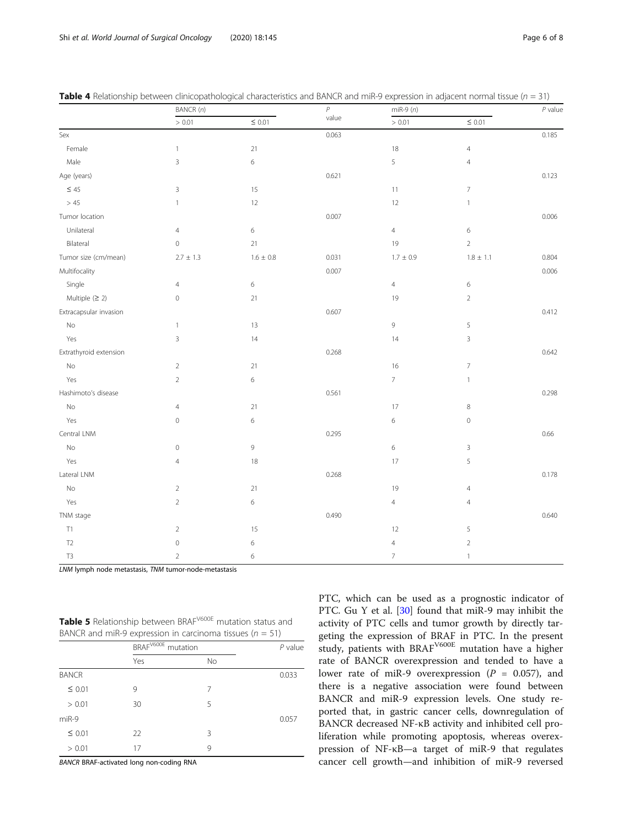| Page 6 of |  |
|-----------|--|
|           |  |

|                        | BANCR(n)       |                 | $\boldsymbol{\rho}$ | $miR-9(n)$               |                          |       |
|------------------------|----------------|-----------------|---------------------|--------------------------|--------------------------|-------|
|                        | > 0.01         | $\leq$ 0.01     | value               | > 0.01                   | $\leq$ 0.01              |       |
| Sex                    |                |                 | 0.063               |                          |                          | 0.185 |
| Female                 | $\mathbf{1}$   | $21\,$          |                     | 18                       | $\overline{4}$           |       |
| Male                   | 3              | $\,$ 6 $\,$     |                     | 5                        | $\overline{4}$           |       |
| Age (years)            |                |                 | 0.621               |                          |                          | 0.123 |
| $\leq$ 45              | $\overline{3}$ | 15              |                     | 11                       | $\overline{7}$           |       |
| $>45\,$                | $\mathbf{1}$   | 12              |                     | 12                       | $\mathbf{1}$             |       |
| Tumor location         |                |                 | 0.007               |                          |                          | 0.006 |
| Unilateral             | $\overline{4}$ | 6               |                     | $\overline{4}$           | $\,$ 6 $\,$              |       |
| Bilateral              | $\,0\,$        | 21              |                     | 19                       | $\sqrt{2}$               |       |
| Tumor size (cm/mean)   | $2.7 \pm 1.3$  | $1.6\,\pm\,0.8$ | 0.031               | $1.7 \pm 0.9$            | $1.8\,\pm\,1.1$          | 0.804 |
| Multifocality          |                |                 | 0.007               |                          |                          | 0.006 |
| Single                 | $\overline{4}$ | 6               |                     | $\overline{4}$           | $\,$ 6 $\,$              |       |
| Multiple $(≥ 2)$       | $\,0\,$        | $21\,$          |                     | 19                       | $\overline{2}$           |       |
| Extracapsular invasion |                |                 | 0.607               |                          |                          | 0.412 |
| No                     | 1              | 13              |                     | 9                        | 5                        |       |
| Yes                    | 3              | 14              |                     | 14                       | $\mathsf 3$              |       |
| Extrathyroid extension |                |                 | 0.268               |                          |                          | 0.642 |
| $\rm No$               | $\overline{2}$ | $21\,$          |                     | 16                       | $\overline{\phantom{a}}$ |       |
| Yes                    | $\overline{2}$ | 6               |                     | $7\overline{ }$          | $\overline{1}$           |       |
| Hashimoto's disease    |                |                 | 0.561               |                          |                          | 0.298 |
| $\mathsf{No}$          | $\overline{4}$ | 21              |                     | 17                       | $\,8\,$                  |       |
| Yes                    | $\mathbb O$    | 6               |                     | $\,$ 6 $\,$              | $\mathbb O$              |       |
| Central LNM            |                |                 | 0.295               |                          |                          | 0.66  |
| $\mathsf{No}$          | $\mathbb O$    | 9               |                     | $\,$ 6 $\,$              | $\mathsf 3$              |       |
| Yes                    | $\overline{4}$ | $18\,$          |                     | 17                       | 5                        |       |
| Lateral LNM            |                |                 | 0.268               |                          |                          | 0.178 |
| No                     | $\overline{2}$ | 21              |                     | 19                       | $\overline{4}$           |       |
| Yes                    | $\overline{2}$ | $\,$ 6 $\,$     |                     | $\overline{4}$           | $\overline{4}$           |       |
| TNM stage              |                |                 | 0.490               |                          |                          | 0.640 |
| T1                     | $\overline{2}$ | 15              |                     | 12                       | 5                        |       |
| T <sub>2</sub>         | $\,0\,$        | 6               |                     | $\overline{4}$           | $\sqrt{2}$               |       |
| T <sub>3</sub>         | $\overline{2}$ | 6               |                     | $\overline{\mathcal{I}}$ | $\mathbf{1}$             |       |

<span id="page-5-0"></span>

|  | <b>Table 4</b> Relationship between clinicopathological characteristics and BANCR and miR-9 expression in adjacent normal tissue (n = 31) |  |  |
|--|-------------------------------------------------------------------------------------------------------------------------------------------|--|--|
|  |                                                                                                                                           |  |  |

LNM lymph node metastasis, TNM tumor-node-metastasis

Table 5 Relationship between BRAF<sup>V600E</sup> mutation status and BANCR and miR-9 expression in carcinoma tissues ( $n = 51$ )

|              |     | BRAF <sup>V600E</sup><br>mutation |       |
|--------------|-----|-----------------------------------|-------|
|              | Yes | No                                |       |
| <b>BANCR</b> |     |                                   | 0.033 |
| $\leq 0.01$  | 9   | 7                                 |       |
| > 0.01       | 30  | 5                                 |       |
| miR-9        |     |                                   | 0.057 |
| $\leq 0.01$  | 22  | 3                                 |       |
| > 0.01       | 17  | 9                                 |       |

BANCR BRAF-activated long non-coding RNA

PTC, which can be used as a prognostic indicator of PTC. Gu Y et al. [\[30\]](#page-7-0) found that miR-9 may inhibit the activity of PTC cells and tumor growth by directly targeting the expression of BRAF in PTC. In the present study, patients with BRAF<sup>V600E</sup> mutation have a higher rate of BANCR overexpression and tended to have a lower rate of miR-9 overexpression ( $P = 0.057$ ), and there is a negative association were found between BANCR and miR-9 expression levels. One study reported that, in gastric cancer cells, downregulation of BANCR decreased NF-κB activity and inhibited cell proliferation while promoting apoptosis, whereas overexpression of NF-κB—a target of miR-9 that regulates cancer cell growth—and inhibition of miR-9 reversed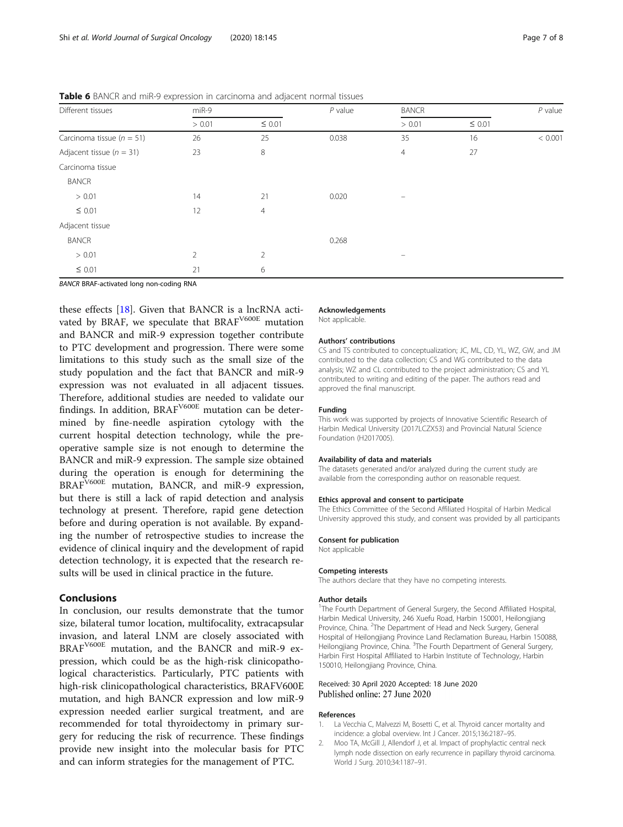| Different tissues             | miR-9          |                | $P$ value | <b>BANCR</b>   |             |         |
|-------------------------------|----------------|----------------|-----------|----------------|-------------|---------|
|                               | > 0.01         | $\leq 0.01$    |           | > 0.01         | $\leq 0.01$ |         |
| Carcinoma tissue ( $n = 51$ ) | 26             | 25             | 0.038     | 35             | 16          | < 0.001 |
| Adjacent tissue ( $n = 31$ )  | 23             | 8              |           | $\overline{4}$ | 27          |         |
| Carcinoma tissue              |                |                |           |                |             |         |
| <b>BANCR</b>                  |                |                |           |                |             |         |
| > 0.01                        | 14             | 21             | 0.020     | -              |             |         |
| $\leq 0.01$                   | 12             | $\overline{4}$ |           |                |             |         |
| Adjacent tissue               |                |                |           |                |             |         |
| <b>BANCR</b>                  |                |                | 0.268     |                |             |         |
| > 0.01                        | $\overline{2}$ | $\overline{2}$ |           |                |             |         |
| $\leq 0.01$                   | 21             | 6              |           |                |             |         |

<span id="page-6-0"></span>Table 6 BANCR and miR-9 expression in carcinoma and adjacent normal tissues

BANCR BRAF-activated long non-coding RNA

these effects [\[18](#page-7-0)]. Given that BANCR is a lncRNA activated by BRAF, we speculate that BRAF<sup>V600E</sup> mutation and BANCR and miR-9 expression together contribute to PTC development and progression. There were some limitations to this study such as the small size of the study population and the fact that BANCR and miR-9 expression was not evaluated in all adjacent tissues. Therefore, additional studies are needed to validate our findings. In addition,  $\text{BRAF}^{\text{V600E}}$  mutation can be determined by fine-needle aspiration cytology with the current hospital detection technology, while the preoperative sample size is not enough to determine the BANCR and miR-9 expression. The sample size obtained during the operation is enough for determining the BRAF<sup>V600E</sup> mutation, BANCR, and miR-9 expression, but there is still a lack of rapid detection and analysis technology at present. Therefore, rapid gene detection before and during operation is not available. By expanding the number of retrospective studies to increase the evidence of clinical inquiry and the development of rapid detection technology, it is expected that the research results will be used in clinical practice in the future.

## Conclusions

In conclusion, our results demonstrate that the tumor size, bilateral tumor location, multifocality, extracapsular invasion, and lateral LNM are closely associated with BRAFV600E mutation, and the BANCR and miR-9 expression, which could be as the high-risk clinicopathological characteristics. Particularly, PTC patients with high-risk clinicopathological characteristics, BRAFV600E mutation, and high BANCR expression and low miR-9 expression needed earlier surgical treatment, and are recommended for total thyroidectomy in primary surgery for reducing the risk of recurrence. These findings provide new insight into the molecular basis for PTC and can inform strategies for the management of PTC.

## Acknowledgements

Not applicable.

#### Authors' contributions

CS and TS contributed to conceptualization; JC, ML, CD, YL, WZ, GW, and JM contributed to the data collection; CS and WG contributed to the data analysis; WZ and CL contributed to the project administration; CS and YL contributed to writing and editing of the paper. The authors read and approved the final manuscript.

#### Funding

This work was supported by projects of Innovative Scientific Research of Harbin Medical University (2017LCZX53) and Provincial Natural Science Foundation (H2017005).

#### Availability of data and materials

The datasets generated and/or analyzed during the current study are available from the corresponding author on reasonable request.

#### Ethics approval and consent to participate

The Ethics Committee of the Second Affiliated Hospital of Harbin Medical University approved this study, and consent was provided by all participants

#### Consent for publication

Not applicable

#### Competing interests

The authors declare that they have no competing interests.

#### Author details

<sup>1</sup>The Fourth Department of General Surgery, the Second Affiliated Hospital, Harbin Medical University, 246 Xuefu Road, Harbin 150001, Heilongjiang Province, China. <sup>2</sup>The Department of Head and Neck Surgery, General Hospital of Heilongjiang Province Land Reclamation Bureau, Harbin 150088, Heilongjiang Province, China. <sup>3</sup>The Fourth Department of General Surgery, Harbin First Hospital Affiliated to Harbin Institute of Technology, Harbin 150010, Heilongiiang Province, China.

#### Received: 30 April 2020 Accepted: 18 June 2020 Published online: 27 June 2020

#### References

- 1. La Vecchia C, Malvezzi M, Bosetti C, et al. Thyroid cancer mortality and incidence: a global overview. Int J Cancer. 2015;136:2187–95.
- 2. Moo TA, McGill J, Allendorf J, et al. Impact of prophylactic central neck lymph node dissection on early recurrence in papillary thyroid carcinoma. World J Surg. 2010;34:1187–91.